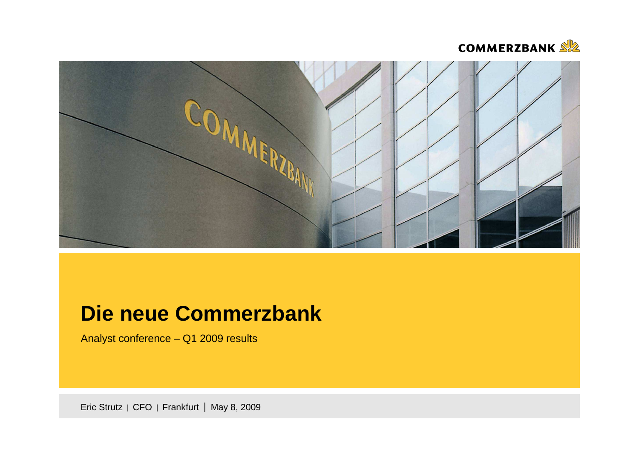



# **Die neue Commerzbank**

Analyst conference – Q1 2009 results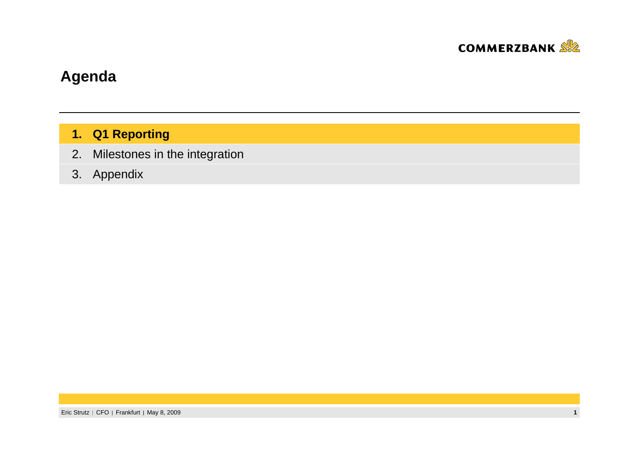

# **Agenda**

### **1. Q1 Reporting**

 Milestones in the integration2.

### 3. Appendix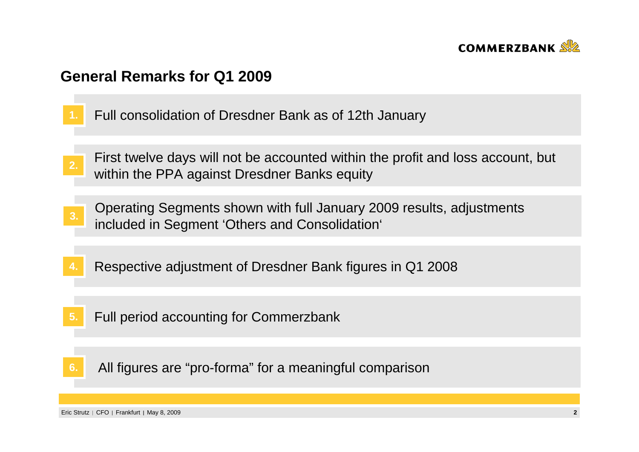

### **General Remarks for Q1 2009**

- **1.**Full consolidation of Dresdner Bank as of 12th January
- First twelve days will not be accounted within the profit and loss account, but **2.** within the PPA against Dresdner Banks equity
- Operating Segments shown with full January 2009 results, adjustments included in Segment 'Others and Consolidation' **3.**
- **4.**Respective adjustment of Dresdner Bank figures in Q1 2008
- Full period accounting for Commerzbank**5.**
- All figures are "pro-forma" for a meaningful comparison**6.**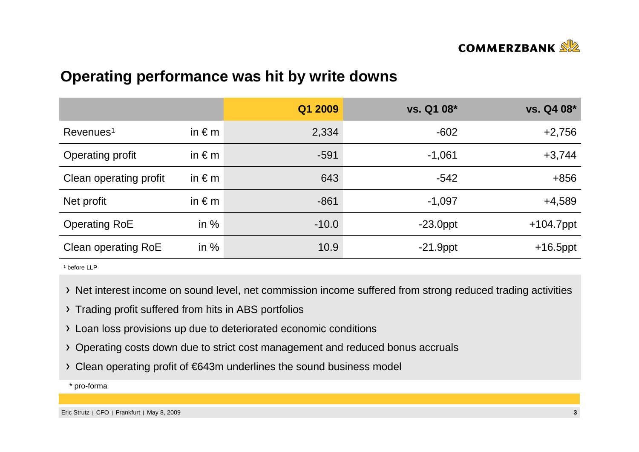

## **Operating performance was hit by write downs**

|                        |                 | Q1 2009 | vs. Q1 08*  | vs. Q4 08*   |
|------------------------|-----------------|---------|-------------|--------------|
| Revenues <sup>1</sup>  | in $\epsilon$ m | 2,334   | $-602$      | $+2,756$     |
| Operating profit       | in $\epsilon$ m | $-591$  | $-1,061$    | $+3,744$     |
| Clean operating profit | in $\epsilon$ m | 643     | $-542$      | $+856$       |
| Net profit             | in $\epsilon$ m | $-861$  | $-1,097$    | $+4,589$     |
| <b>Operating RoE</b>   | in $%$          | $-10.0$ | $-23.0$ ppt | $+104.7$ ppt |
| Clean operating RoE    | in $%$          | 10.9    | $-21.9$ ppt | $+16.5$ ppt  |

1 before LLP

- > Net interest income on sound level, net commission income suffered from strong reduced trading activities
- > Trading profit suffered from hits in ABS portfolios
- Loan loss provisions up due to deteriorated economic conditions
- Operating costs down due to strict cost management and reduced bonus accruals
- Clean operating profit of €643m underlines the sound business model

\* pro-forma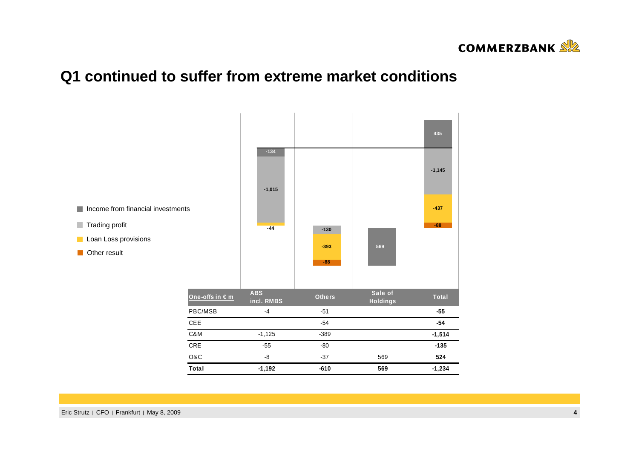

# **Q1 continued to suffer from extreme market conditions**

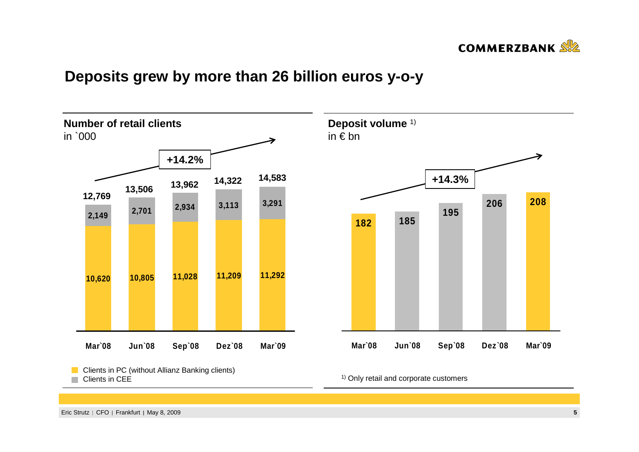

## **Deposits grew by more than 26 billion euros y-o-y**



<sup>1)</sup> Only retail and corporate customers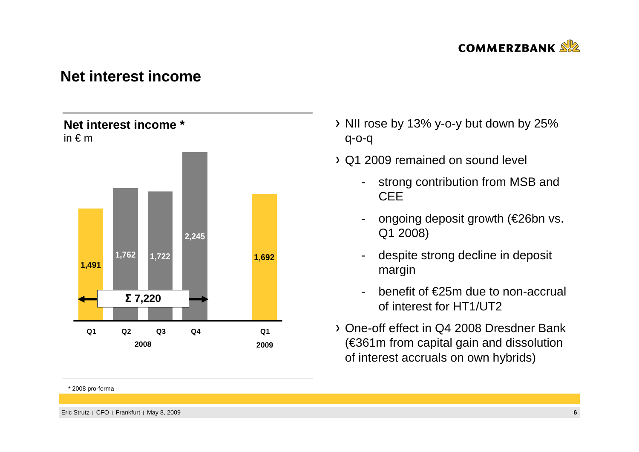

### **Net interest income**

### **Net interest income \***in € <sup>m</sup>



#### \* 2008 pro-forma

- $\rightarrow$  NII rose by 13% y-o-y but down by 25% q-o-q
- Q1 2009 remained on sound level
	- strong contribution from MSB and **CEE**
	- ongoing deposit growth (€26bn vs. Q1 2008)
	- despite strong decline in deposit margin
	- benefit of €25m due to non-accrual of interest for HT1/UT2
- One-off effect in Q4 2008 Dresdner Bank (€361m from capital gain and dissolution of interest accruals on own hybrids)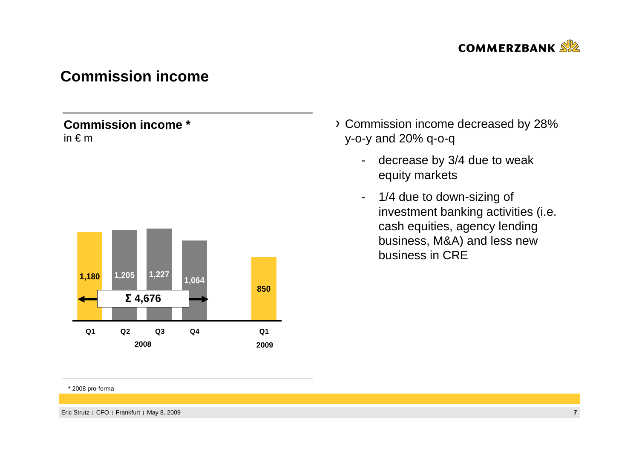

## **Commission income**

### **Commission income \***in € <sup>m</sup>



### Commission income decreased by 28% y-o-y and 20% q-o-q

- decrease by 3/4 due to weak equity markets
- - 1/4 due to down-sizing of investment banking activities (i.e. cash equities, agency lending business, M&A) and less new business in CRE

#### \* 2008 pro-forma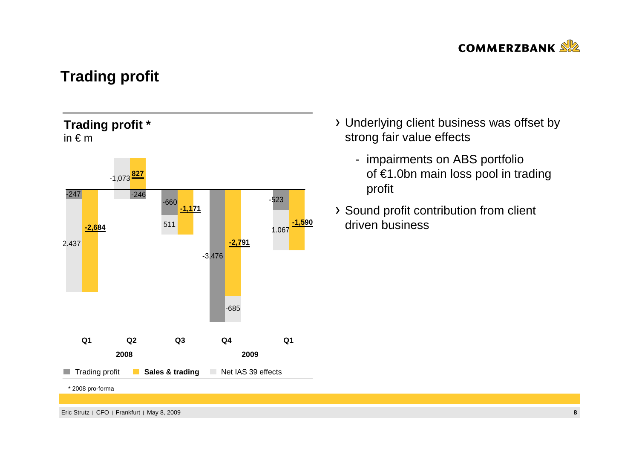

# **Trading profit**

### **Trading profit \***in  $\epsilon$  m



- Underlying client business was offset by strong fair value effects
	- impairments on ABS portfolio of €1.0bn main loss pool in trading profit
- Sound profit contribution from client driven business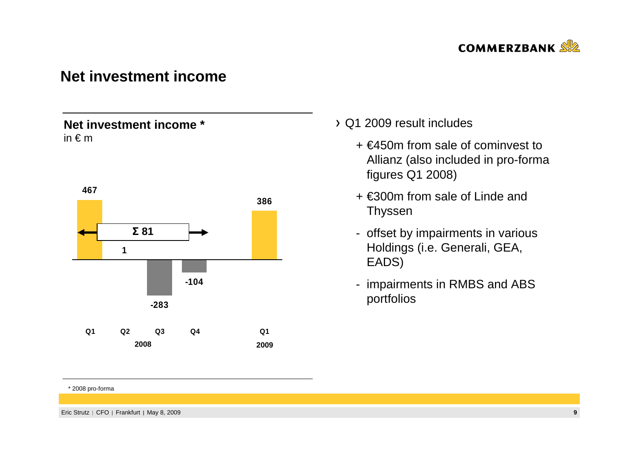

### **Net investment income**

### **Net investment income \***in € <sup>m</sup>



### Q1 2009 result includes

- + €450m from sale of cominvest to Allianz (also included in pro-forma figures Q1 2008)
- + €300m from sale of Linde and Thyssen
- offset by impairments in various Holdings (i.e. Generali, GEA, EADS)
- impairments in RMBS and ABS portfolios

#### \* 2008 pro-forma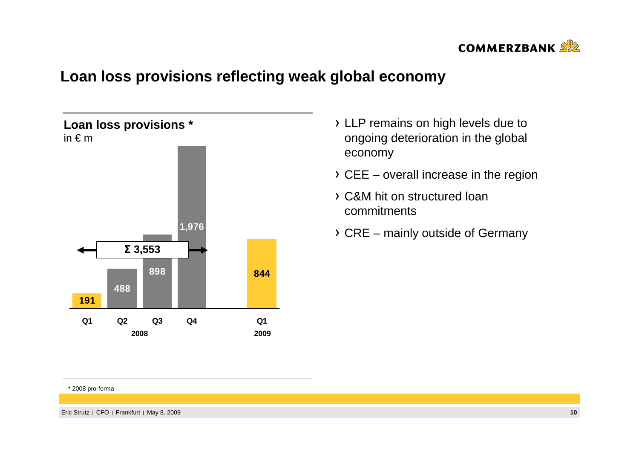

# **Loan loss provisions reflecting weak global economy**



- LLP remains on high levels due to ongoing deterioration in the global economy
- $\rightarrow$  CEE overall increase in the region
- C&M hit on structured loan commitments
- CRE mainly outside of Germany

#### \* 2008 pro-forma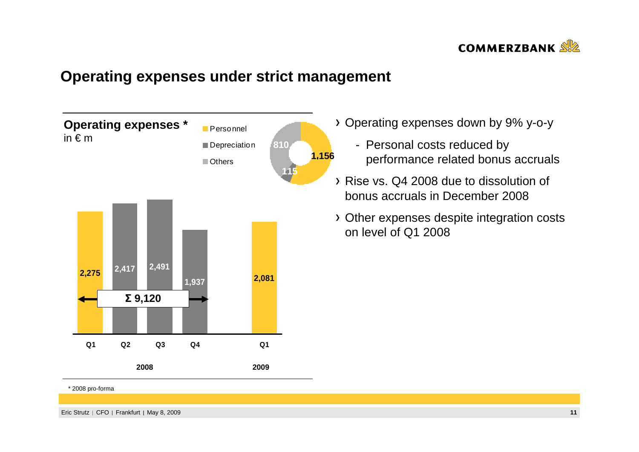

## **Operating expenses under strict management**



\* 2008 pro-forma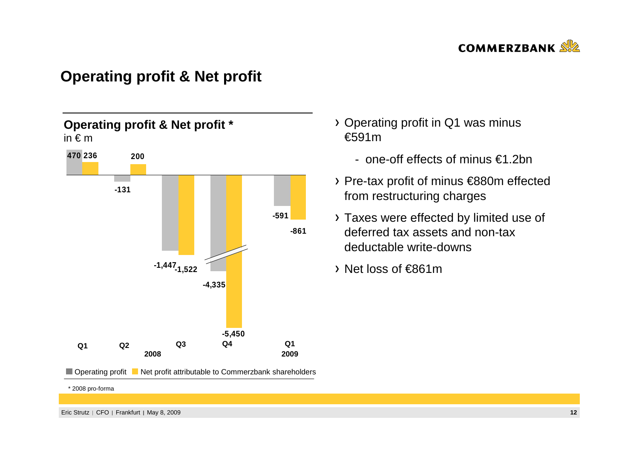

## **Operating profit & Net profit**



Operating profit Net profit attributable to Commerzbank shareholders

Operating profit in Q1 was minus €591m

- one-off effects of minus €1.2bn
- Pre-tax profit of minus €880m effected from restructuring charges
- Taxes were effected by limited use of deferred tax assets and non-tax deductable write-downs
- Net loss of €861m

\* 2008 pro-forma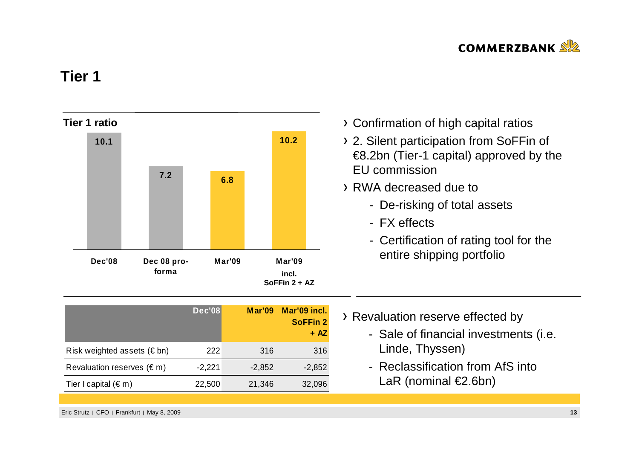

### **Tier 1**



|                                     | <b>Dec'08</b> | <b>Mar'09</b> | Mar'09 incl.<br><b>SoFFin 2</b><br>$+ AZ$ |
|-------------------------------------|---------------|---------------|-------------------------------------------|
| Risk weighted assets ( $\notin$ bn) | 222           | 316           | 316                                       |
| Revaluation reserves $(\epsilon m)$ | $-2,221$      | $-2,852$      | $-2,852$                                  |
| Tier I capital $(\epsilon m)$       | 22,500        | 21,346        | 32,096                                    |

- Confirmation of high capital ratios
- 2. Silent participation from SoFFin of €8.2bn (Tier-1 capital) approved by the EU commission
- RWA decreased due to
	- De-risking of total assets
	- FX effects
	- Certification of rating tool for the entire shipping portfolio

- > Revaluation reserve effected by
	- Sale of financial investments (i.e. Linde, Thyssen)
	- Reclassification from AfS into LaR (nominal €2.6bn)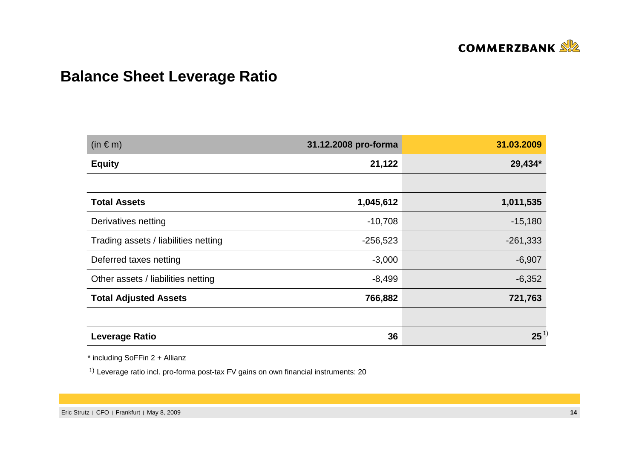

# **Balance Sheet Leverage Ratio**

| $(in \in m)$                         | 31.12.2008 pro-forma | 31.03.2009 |
|--------------------------------------|----------------------|------------|
| <b>Equity</b>                        | 21,122               | 29,434*    |
|                                      |                      |            |
| <b>Total Assets</b>                  | 1,045,612            | 1,011,535  |
| Derivatives netting                  | $-10,708$            | $-15,180$  |
| Trading assets / liabilities netting | $-256,523$           | $-261,333$ |
| Deferred taxes netting               | $-3,000$             | $-6,907$   |
| Other assets / liabilities netting   | $-8,499$             | $-6,352$   |
| <b>Total Adjusted Assets</b>         | 766,882              | 721,763    |
|                                      |                      |            |
| <b>Leverage Ratio</b>                | 36                   | $25^{1}$   |

\* including SoFFin 2 + Allianz

1) Leverage ratio incl. pro-forma post-tax FV gains on own financial instruments: 20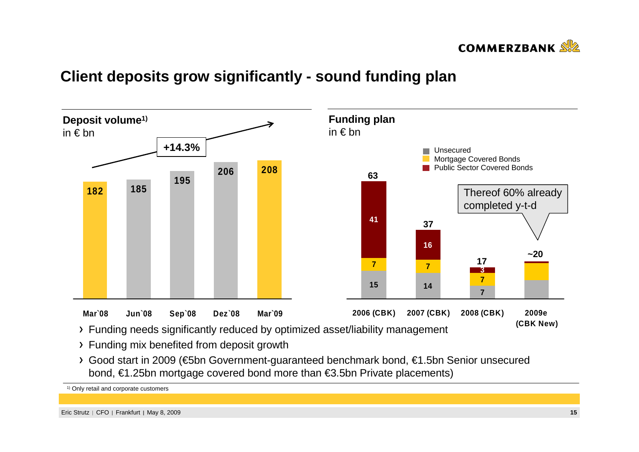

# **Client deposits grow significantly - sound funding plan**



- Funding mix benefited from deposit growth
- Good start in 2009 (€5bn Government-guaranteed benchmark bond, €1.5bn Senior unsecured bond, €1.25bn mortgage covered bond more than €3.5bn Private placements)

1) Only retail and corporate customers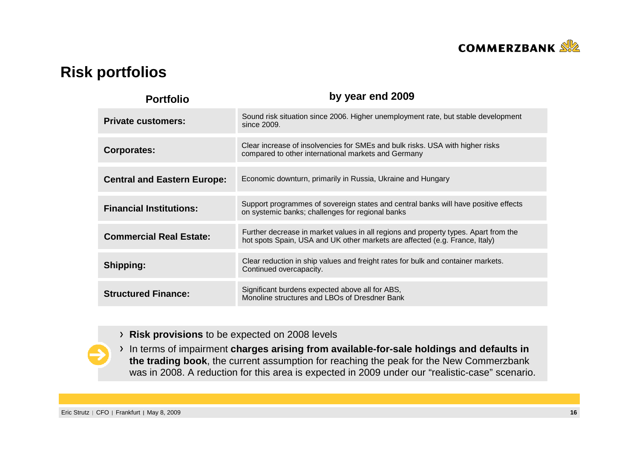

## **Risk portfolios**

| <b>Portfolio</b>                   | by year end 2009                                                                                                                                                   |
|------------------------------------|--------------------------------------------------------------------------------------------------------------------------------------------------------------------|
| <b>Private customers:</b>          | Sound risk situation since 2006. Higher unemployment rate, but stable development<br>since 2009.                                                                   |
| Corporates:                        | Clear increase of insolvencies for SMEs and bulk risks. USA with higher risks<br>compared to other international markets and Germany                               |
| <b>Central and Eastern Europe:</b> | Economic downturn, primarily in Russia, Ukraine and Hungary                                                                                                        |
| <b>Financial Institutions:</b>     | Support programmes of sovereign states and central banks will have positive effects<br>on systemic banks; challenges for regional banks                            |
| <b>Commercial Real Estate:</b>     | Further decrease in market values in all regions and property types. Apart from the<br>hot spots Spain, USA and UK other markets are affected (e.g. France, Italy) |
| Shipping:                          | Clear reduction in ship values and freight rates for bulk and container markets.<br>Continued overcapacity.                                                        |
| <b>Structured Finance:</b>         | Significant burdens expected above all for ABS,<br>Monoline structures and LBOs of Dresdner Bank                                                                   |

**Risk provisions** to be expected on 2008 levels

In terms of impairment **charges arising from available-for-sale holdings and defaults in the trading book**, the current assumption for reaching the peak for the New Commerzbankwas in 2008. A reduction for this area is expected in 2009 under our "realistic-case" scenario.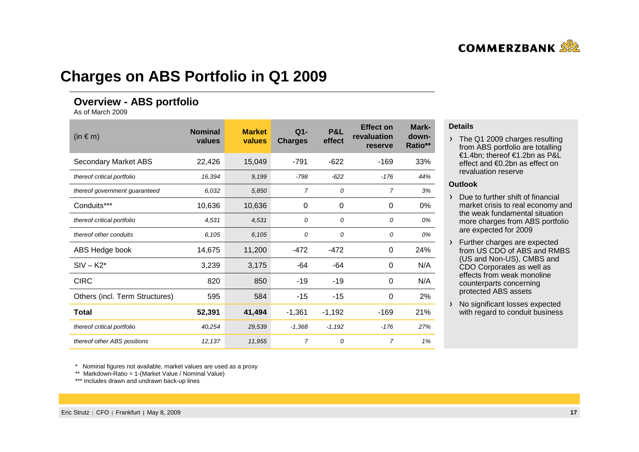# **Charges on ABS Portfolio in Q1 2009**

### **Overview - ABS portfolio**

As of March 2009

| $(in \in m)$                   | <b>Nominal</b><br>values | <b>Market</b><br>values | $Q1 -$<br><b>Charges</b> | <b>P&amp;L</b><br>effect | <b>Effect on</b><br>revaluation<br>reserve | Mark-<br>down-<br>Ratio** |
|--------------------------------|--------------------------|-------------------------|--------------------------|--------------------------|--------------------------------------------|---------------------------|
| Secondary Market ABS           | 22,426                   | 15,049                  | $-791$                   | $-622$                   | $-169$                                     | 33%                       |
| thereof critical portfolio     | 16,394                   | 9,199                   | $-798$                   | $-622$                   | $-176$                                     | 44%                       |
| thereof government guaranteed  | 6,032                    | 5,850                   | 7                        | 0                        | $\overline{7}$                             | 3%                        |
| Conduits***                    | 10,636                   | 10,636                  | 0                        | 0                        | $\Omega$                                   | $0\%$                     |
| thereof critical portfolio     | 4,531                    | 4,531                   | 0                        | 0                        | 0                                          | 0%                        |
| thereof other conduits         | 6,105                    | 6,105                   | 0                        | 0                        | 0                                          | 0%                        |
| ABS Hedge book                 | 14,675                   | 11,200                  | $-472$                   | $-472$                   | 0                                          | 24%                       |
| $SIV - K2^*$                   | 3,239                    | 3,175                   | -64                      | -64                      | 0                                          | N/A                       |
| <b>CIRC</b>                    | 820                      | 850                     | $-19$                    | $-19$                    | $\Omega$                                   | N/A                       |
| Others (incl. Term Structures) | 595                      | 584                     | $-15$                    | $-15$                    | $\Omega$                                   | 2%                        |
| Total                          | 52,391                   | 41,494                  | $-1,361$                 | $-1,192$                 | $-169$                                     | 21%                       |
| thereof critical portfolio     | 40,254                   | 29,539                  | $-1,368$                 | $-1,192$                 | $-176$                                     | 27%                       |
| thereof other ABS positions    | 12,137                   | 11,955                  | $\overline{7}$           | 0                        | $\overline{7}$                             | 1%                        |

#### **Details**

> The Q1 2009 charges resulting from ABS portfolio are totalling €1.4bn; thereof €1.2bn as P&L effect and €0.2bn as effect on revaluation reserve

#### **Outlook**

- $\triangleright$  Due to further shift of financial market crisis to real economy and the weak fundamental situation more charges from ABS portfolio are expected for 2009
- Further charges are expected from US CDO of ABS and RMBS (US and Non-US), CMBS and CDO Corporates as well as effects from weak monolinecounterparts concerning protected ABS assets
- > No significant losses expected % with regard to conduit business

\* Nominal figures not available, market values are used as a proxy

\*\* Markdown-Ratio = 1-(Market Value / Nominal Value)

\*\*\* Includes drawn and undrawn back-up lines

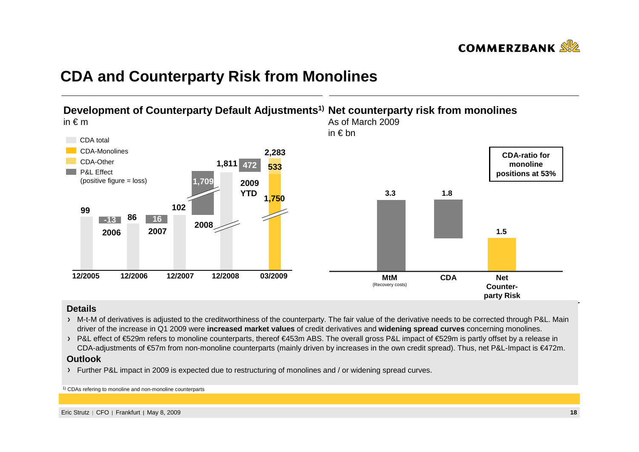

## **CDA and Counterparty Risk from Monolines**



#### **Details**

- M-t-M of derivatives is adjusted to the creditworthiness of the counterparty. The fair value of the derivative needs to be corrected through P&L. Main driver of the increase in Q1 2009 were **increased market values** of credit derivatives and **widening spread curves** concerning monolines.
- > P&L effect of €529m refers to monoline counterparts, thereof €453m ABS. The overall gross P&L impact of €529m is partly offset by a release in CDA-adjustments of €57m from non-monoline counterparts (mainly driven by increases in the own credit spread). Thus, net P&L-Impact is €472m.

#### **Outlook**

Further P&L impact in 2009 is expected due to restructuring of monolines and / or widening spread curves.

1) CDAs refering to monoline and non-monoline counterparts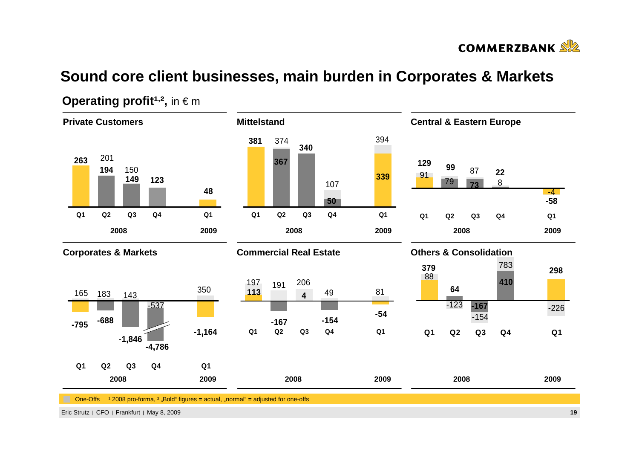

# **Sound core client businesses, main burden in Corporates & Markets**



### **Operating profit<sup>1,2</sup>,** in  $\in$  m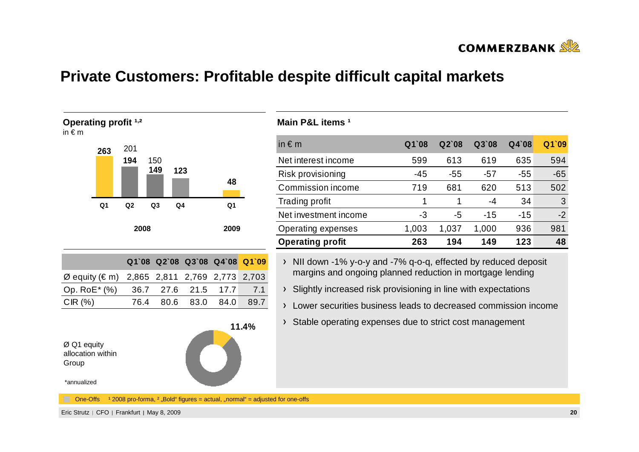

## **Private Customers: Profitable despite difficult capital markets**



### **Main P&L items ¹ ,<sup>²</sup>**

| in $\epsilon$ m           | $Q1$ 08 | $Q2$ 08 | Q3`08 | Q4`08 | Q1`09 |
|---------------------------|---------|---------|-------|-------|-------|
| Net interest income       | 599     | 613     | 619   | 635   | 594   |
| Risk provisioning         | -45     | $-55$   | -57   | $-55$ | $-65$ |
| Commission income         | 719     | 681     | 620   | 513   | 502   |
| Trading profit            | 1       |         | -4    | 34    | 3     |
| Net investment income     | -3      | -5      | $-15$ | $-15$ | $-2$  |
| <b>Operating expenses</b> | 1,003   | 1,037   | 1,000 | 936   | 981   |
| <b>Operating profit</b>   | 263     | 194     | 149   | 123   | 48    |

- > NII down -1% y-o-y and -7% q-o-q, effected by reduced deposit margins and ongoing planned reduction in mortgage lending
- > Slightly increased risk provisioning in line with expectations
- Lower securities business leads to decreased commission income
- Stable operating expenses due to strict cost management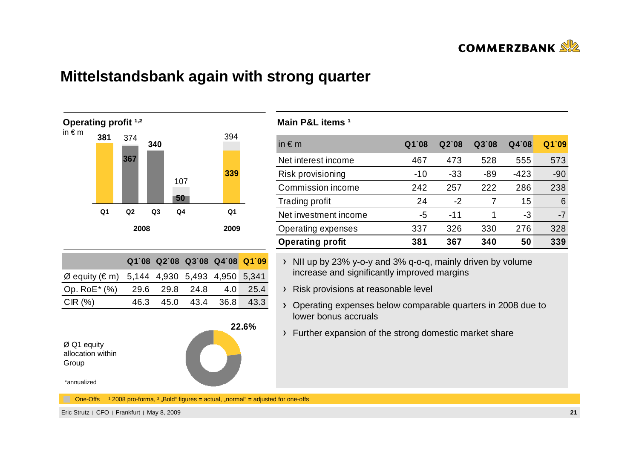

## **Mittelstandsbank again with strong quarter**



#### **Main P&L items 1**

| in $\epsilon$ m         | $Q1$ 08 | $Q2$ 08 | Q3`08 | $Q4$ 08 | Q1`09 |
|-------------------------|---------|---------|-------|---------|-------|
| Net interest income     | 467     | 473     | 528   | 555     | 573   |
| Risk provisioning       | -10     | $-33$   | -89   | $-423$  | $-90$ |
| Commission income       | 242     | 257     | 222   | 286     | 238   |
| <b>Trading profit</b>   | 24      | -2      | 7     | 15      | 6     |
| Net investment income   | -5      | $-11$   |       | -3      | $-7$  |
| Operating expenses      | 337     | 326     | 330   | 276     | 328   |
| <b>Operating profit</b> | 381     | 367     | 340   | 50      | 339   |

- $\rightarrow$  NII up by 23% y-o-y and 3% q-o-q, mainly driven by volume increase and significantly improved margins
- Risk provisions at reasonable level
- Operating expenses below comparable quarters in 2008 due to lower bonus accruals
- Further expansion of the strong domestic market share

\*annualized

One-Offs  $12008$  pro-forma,  $2 \cdot$  Bold" figures = actual,  $\ldots$  normal" = adjusted for one-offs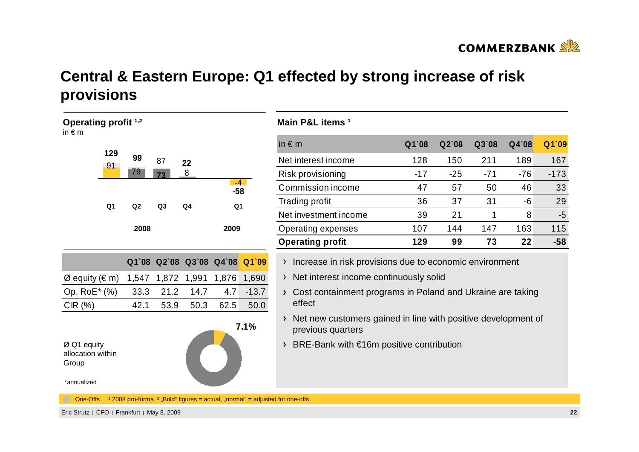

# **Central & Eastern Europe: Q1 effected by strong increase of riskprovisions**

| <b>Operating profit 1,2</b><br>in $\epsilon$ m           |                |                |                |                         |                |         | Ма         |
|----------------------------------------------------------|----------------|----------------|----------------|-------------------------|----------------|---------|------------|
|                                                          | 129            |                |                |                         |                |         | in +       |
|                                                          | 91             | 99             | 87             | 22                      |                |         | Ne         |
|                                                          |                | 79             | 73             | 8                       | $-4$           |         | <b>Ris</b> |
|                                                          |                |                |                |                         | $-58$          |         | Co         |
|                                                          | Q <sub>1</sub> | Q <sub>2</sub> | Q <sub>3</sub> | Q4                      | Q <sub>1</sub> |         | Tra        |
|                                                          |                |                |                |                         |                |         | Ne         |
|                                                          |                | 2008           |                |                         | 2009           |         | Op         |
|                                                          |                |                |                |                         |                |         | Op         |
|                                                          |                |                |                | Q1`08 Q2`08 Q3`08 Q4`08 |                | Q1`09   | $\lambda$  |
| $\varnothing$ equity ( $\in$ m)                          |                | 1,547          | 1,872          | 1,991                   | 1,876          | 1,690   | $\lambda$  |
| Op. RoE* (%)                                             |                | 33.3           | 21.2           | 14.7                    | 4.7            | $-13.7$ | $\lambda$  |
| CIR(%)                                                   |                | 42.1           | 53.9           | 50.3                    | 62.5           | 50.0    |            |
|                                                          |                |                |                |                         |                | 7.1%    |            |
| Ø Q1 equity<br>allocation within<br>Group<br>*annualized |                |                |                |                         |                |         | $\lambda$  |
|                                                          |                |                |                |                         |                |         |            |

#### **Main P&L items 1**

| in $\epsilon$ m         | $Q1$ 08 | $Q2$ 08 | Q3'08 | $Q4$ 08 | Q1`09  |
|-------------------------|---------|---------|-------|---------|--------|
| Net interest income     | 128     | 150     | 211   | 189     | 167    |
| Risk provisioning       | -17     | $-25$   | $-71$ | -76     | $-173$ |
| Commission income       | 47      | 57      | 50    | 46      | 33     |
| Trading profit          | 36      | 37      | 31    | -6      | 29     |
| Net investment income   | 39      | 21      |       | 8       | -5     |
| Operating expenses      | 107     | 144     | 147   | 163     | 115    |
| <b>Operating profit</b> | 129     | 99      | 73    | 22      | $-58$  |

- Increase in risk provisions due to economic environment
- Net interest income continuously solid
- Cost containment programs in Poland and Ukraine are taking effect
- Net new customers gained in line with positive development of previous quarters
- BRE-Bank with €16m positive contribution

One-Offs  $12008$  pro-forma,  $2$  "Bold" figures = actual, "normal" = adjusted for one-offs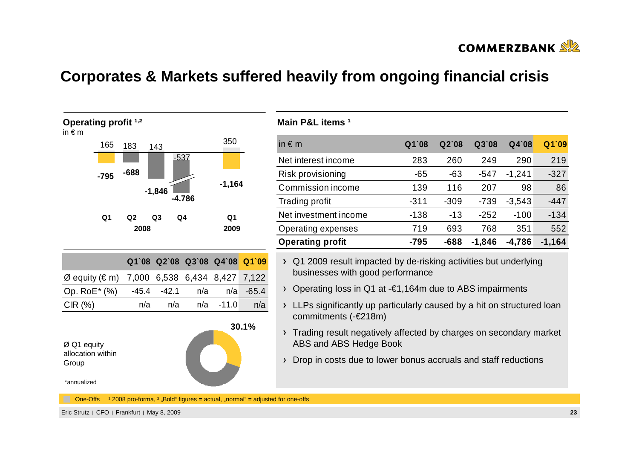

# **Corporates & Markets suffered heavily from ongoing financial crisis**



### **Main P&L items 1**

| in $\epsilon$ m         | $Q1$ 08 | $Q2$ 08 | $Q3$ 08  | $Q4$ 08  | Q1`09    |
|-------------------------|---------|---------|----------|----------|----------|
| Net interest income     | 283     | 260     | 249      | 290      | 219      |
| Risk provisioning       | $-65$   | $-63$   | -547     | $-1,241$ | $-327$   |
| Commission income       | 139     | 116     | 207      | 98       | 86       |
| <b>Trading profit</b>   | $-311$  | $-309$  | $-739$   | $-3,543$ | $-447$   |
| Net investment income   | $-138$  | $-13$   | $-252$   | $-100$   | $-134$   |
| Operating expenses      | 719     | 693     | 768      | 351      | 552      |
| <b>Operating profit</b> | -795    | $-688$  | $-1,846$ | $-4,786$ | $-1,164$ |

- Q1 2009 result impacted by de-risking activities but underlying businesses with good performance
- Operating loss in Q1 at -€1,164m due to ABS impairments
- > LLPs significantly up particularly caused by a hit on structured loan commitments (-€218m)
- > Trading result negatively affected by charges on secondary market ABS and ABS Hedge Book
- > Drop in costs due to lower bonus accruals and staff reductions

One-Offs  $12008$  pro-forma,  $2 \cdot$  Bold" figures = actual,  $\ldots$  normal" = adjusted for one-offs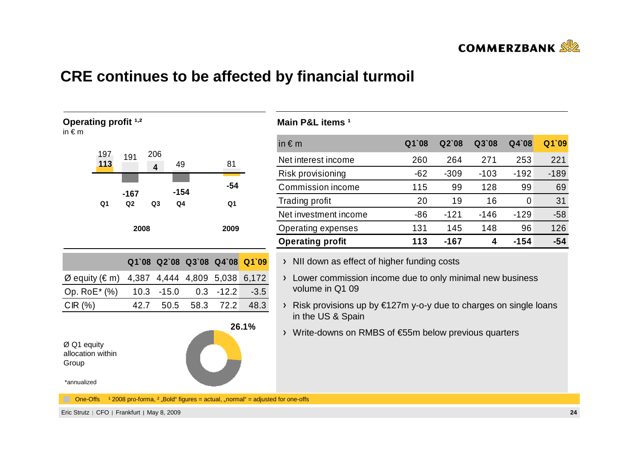

## **CRE continues to be affected by financial turmoil**



#### **Main P&L items 1**

| in $\epsilon$ m         | $Q1$ 08 | Q2'08  | Q3`08  | $Q4$ 08 | Q1`09  |
|-------------------------|---------|--------|--------|---------|--------|
| Net interest income     | 260     | 264    | 271    | 253     | 221    |
| Risk provisioning       | $-62$   | $-309$ | $-103$ | $-192$  | $-189$ |
| Commission income       | 115     | 99     | 128    | 99      | 69     |
| Trading profit          | 20      | 19     | 16     | 0       | 31     |
| Net investment income   | $-86$   | $-121$ | $-146$ | $-129$  | $-58$  |
| Operating expenses      | 131     | 145    | 148    | 96      | 126    |
| <b>Operating profit</b> | 113     | -167   | 4      | $-154$  | -54    |

> NII down as effect of higher funding costs

> Lower commission income due to only minimal new business volume in Q1 09

 $\rightarrow$  Risk provisions up by €127m y-o-y due to charges on single loans in the US & Spain

Write-downs on RMBS of €55m below previous quarters **26.1%**

One-Offs  $12008$  pro-forma,  $2 \text{...}$  Bold" figures = actual,  $\text{...}$  normal" = adjusted for one-offs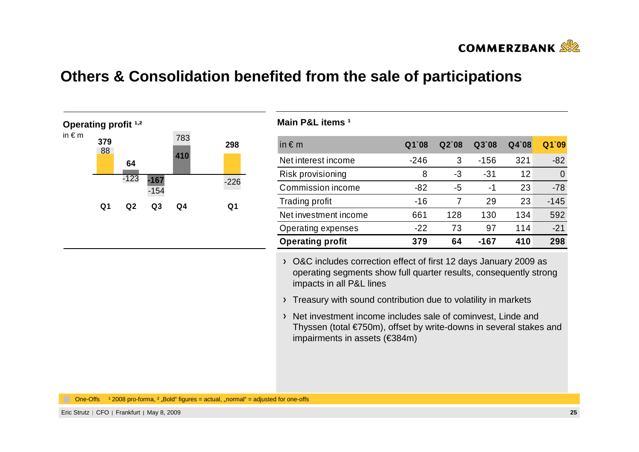

### **Others & Consolidation benefited from the sale of participations**



#### **Main P&L items 1**

| in $\epsilon$ m         | Q1`08  | Q2'08 | Q3`08  | Q4`08 | Q1`09    |
|-------------------------|--------|-------|--------|-------|----------|
| Net interest income     | $-246$ | 3     | $-156$ | 321   | $-82$    |
| Risk provisioning       | 8      | -3    | -31    | 12    | $\Omega$ |
| Commission income       | -82    | -5    | -1     | 23    | $-78$    |
| Trading profit          | $-16$  |       | 29     | 23    | $-145$   |
| Net investment income   | 661    | 128   | 130    | 134   | 592      |
| Operating expenses      | $-22$  | 73    | 97     | 114   | $-21$    |
| <b>Operating profit</b> | 379    | 64    | -167   | 410   | 298      |

O&C includes correction effect of first 12 days January 2009 as operating segments show full quarter results, consequently strong impacts in all P&L lines

- Treasury with sound contribution due to volatility in markets
- > Net investment income includes sale of cominvest, Linde and Thyssen (total €750m), offset by write-downs in several stakes and impairments in assets (€384m)

One-Offs  $12008$  pro-forma,  $2 \cdot$  Bold" figures = actual,  $\ldots$  normal" = adjusted for one-offs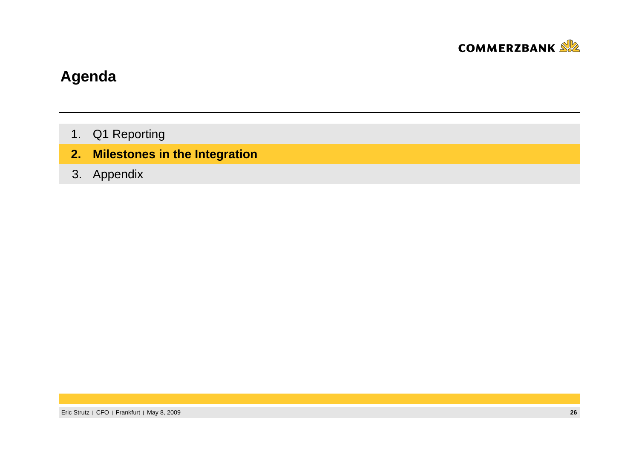

# **Agenda**

- 1.Q1 Reporting
- **2.Milestones in the Integration**
- 3. Appendix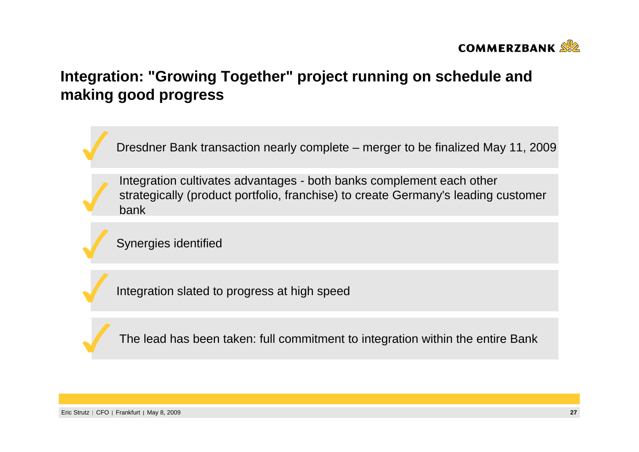

# **Integration: "Growing Together" project running on schedule and making good progress**

Dresdner Bank transaction nearly complete – merger to be finalized May 11, 2009

Integration cultivates advantages - both banks complement each other strategically (product portfolio, franchise) to create Germany's leading customer bank

 $\mathbf{E}$ by not glob rabin Synergies identified

Integration slated to progress at high speed

The lead has been taken: full commitment to integration within the entire Bank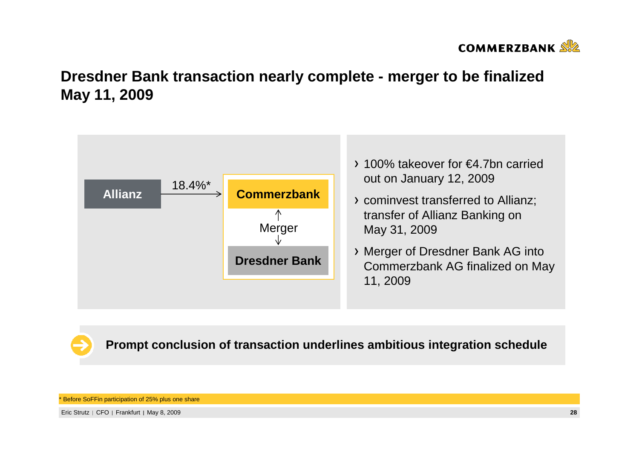

# **Dresdner Bank transaction nearly complete - merger to be finalized May 11, 2009**



**Prompt conclusion of transaction underlines ambitious integration schedule**

**Before SoFFin participation of 25% plus one share**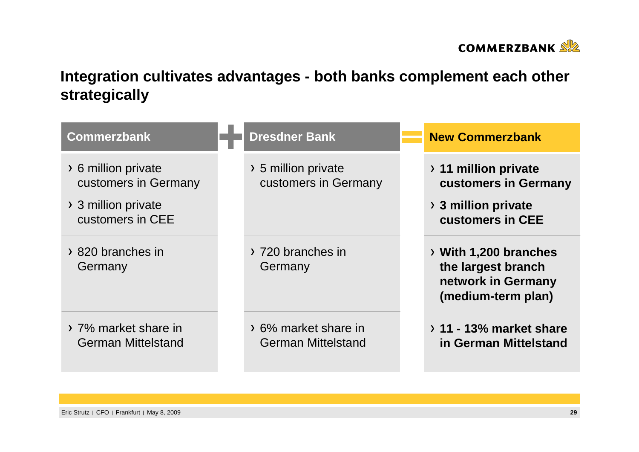

# **Integration cultivates advantages - both banks complement each other strategically**

| <b>Commerzbank</b>                                | <b>Dresdner Bank</b>                              | <b>New Commerzbank</b>                                                                  |
|---------------------------------------------------|---------------------------------------------------|-----------------------------------------------------------------------------------------|
| > 6 million private<br>customers in Germany       | > 5 million private<br>customers in Germany       | $\rightarrow$ 11 million private<br>customers in Germany                                |
| > 3 million private<br>customers in CEE           |                                                   | $\rightarrow$ 3 million private<br>customers in CEE                                     |
| > 820 branches in<br>Germany                      | > 720 branches in<br>Germany                      | > With 1,200 branches<br>the largest branch<br>network in Germany<br>(medium-term plan) |
| > 7% market share in<br><b>German Mittelstand</b> | > 6% market share in<br><b>German Mittelstand</b> | $\rightarrow$ 11 - 13% market share<br>in German Mittelstand                            |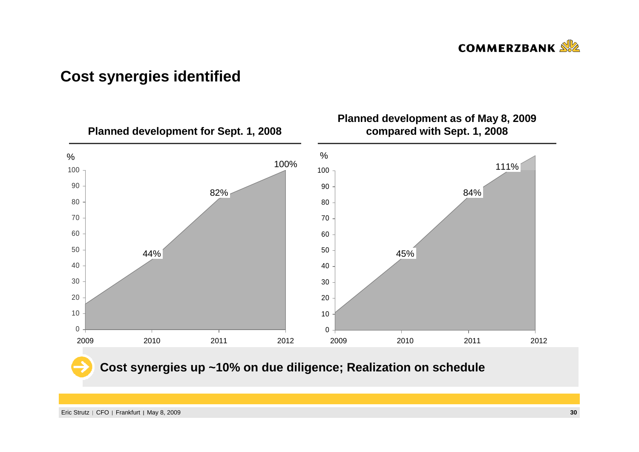

## **Cost synergies identified**

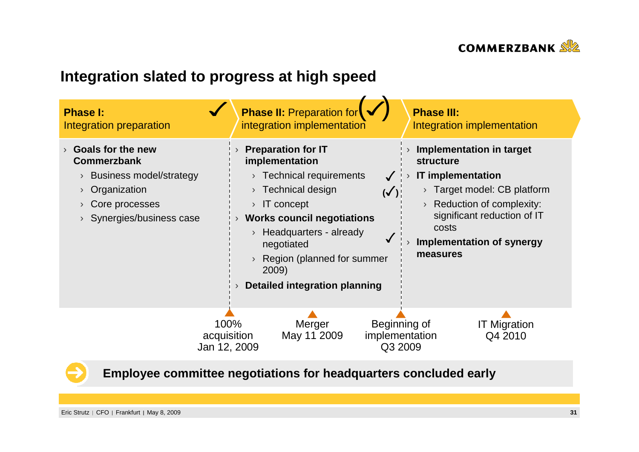

# **Integration slated to progress at high speed**





**Employee committee negotiations for headquarters concluded early**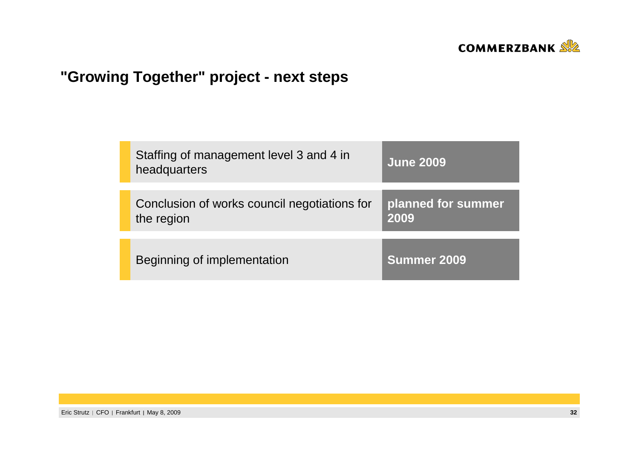

# **"Growing Together" project - next steps**

| headquarters | Staffing of management level 3 and 4 in      | <b>June 2009</b>   |
|--------------|----------------------------------------------|--------------------|
|              | Conclusion of works council negotiations for | planned for summer |
| the region   |                                              | 2009               |
|              |                                              |                    |
|              | Beginning of implementation                  | <b>Summer 2009</b> |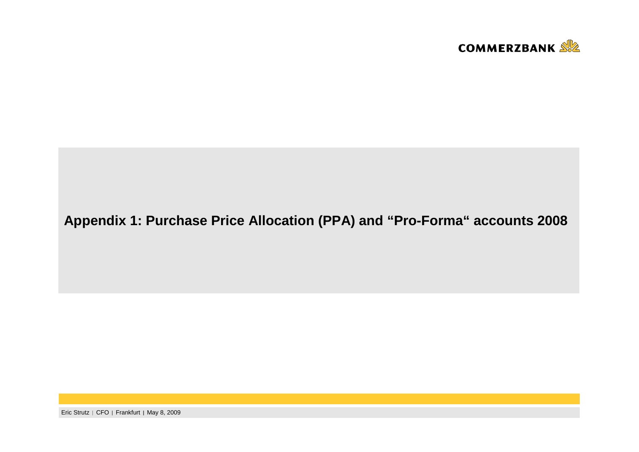

### **Appendix 1: Purchase Price Allocation (PPA) and "Pro-Forma" accounts 2008**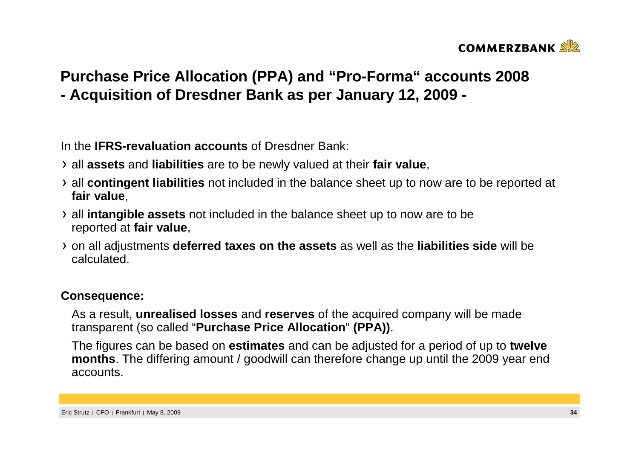

# **Purchase Price Allocation (PPA) and "Pro-Forma" accounts 2008- Acquisition of Dresdner Bank as per January 12, 2009 -**

In the **IFRS-revaluation accounts** of Dresdner Bank:

- all **assets** and **liabilities** are to be newly valued at their **fair value**,
- all **contingent liabilities** not included in the balance sheet up to now are to be reported at **fair value**,
- all **intangible assets** not included in the balance sheet up to now are to be reported at **fair value**,
- on all adjustments **deferred taxes on the assets** as well as the **liabilities side** will be calculated.

### **Consequence:**

As a result, **unrealised losses** and **reserves** of the acquired company will be made transparent (so called "**Purchase Price Allocation**" **(PPA))**.

The figures can be based on **estimates** and can be adjusted for a period of up to **twelve months**. The differing amount / goodwill can therefore change up until the 2009 year end accounts.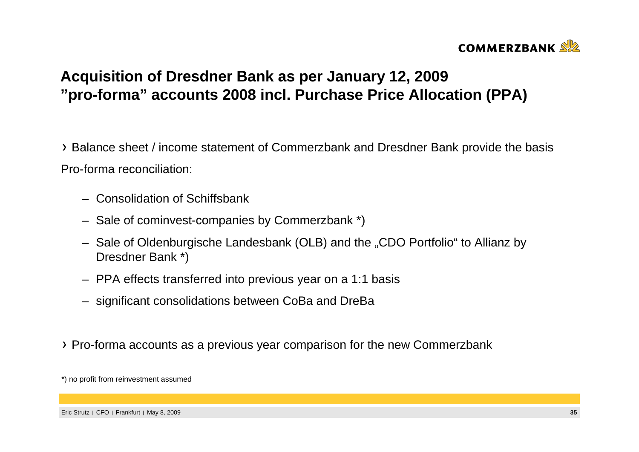

# **Acquisition of Dresdner Bank as per January 12, 2009"pro-forma" accounts 2008 incl. Purchase Price Allocation (PPA)**

Balance sheet / income statement of Commerzbank and Dresdner Bank provide the basisPro-forma reconciliation:

- Consolidation of Schiffsbank
- Sale of cominvest-companies by Commerzbank \*)
- Sale of Oldenburgische Landesbank (OLB) and the "CDO Portfolio" to Allianz by Dresdner Bank \*)
- PPA effects transferred into previous year on a 1:1 basis
- significant consolidations between CoBa and DreBa
- Pro-forma accounts as a previous year comparison for the new Commerzbank

<sup>\*)</sup> no profit from reinvestment assumed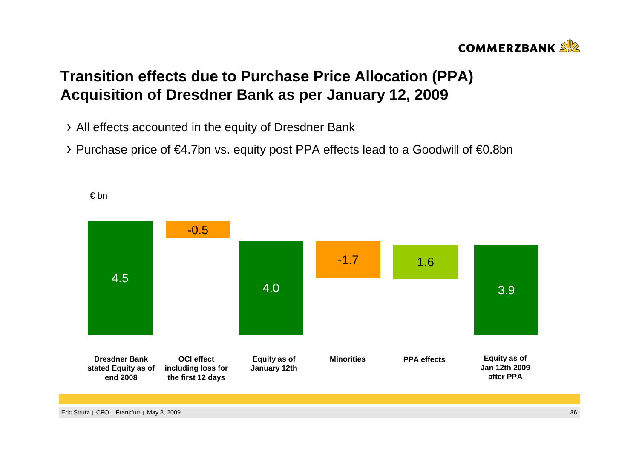## **COMMERZBANK**

# **Transition effects due to Purchase Price Allocation (PPA)Acquisition of Dresdner Bank as per January 12, 2009**

- All effects accounted in the equity of Dresdner Bank
- Purchase price of €4.7bn vs. equity post PPA effects lead to a Goodwill of €0.8bn



€ bn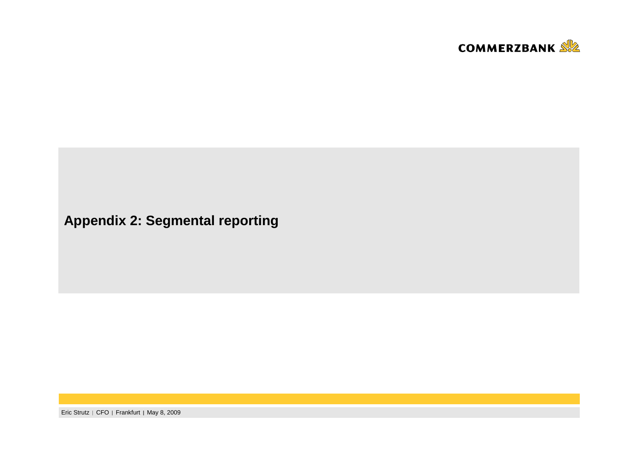

**Appendix 2: Segmental reporting**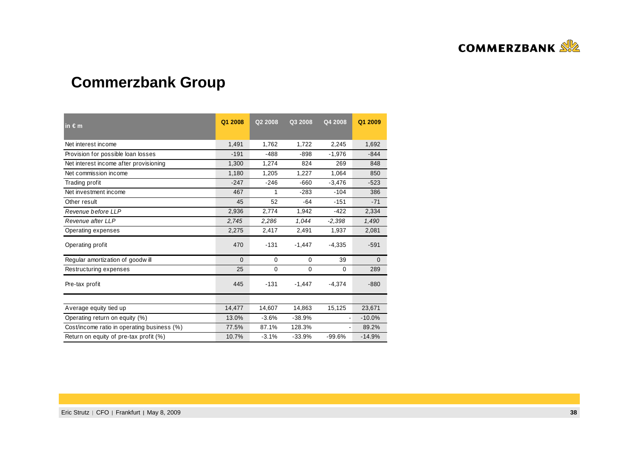

# **Commerzbank Group**

| in $\epsilon$ m                             | Q1 2008  | Q2 2008 | Q3 2008  | Q4 2008  | Q1 2009      |
|---------------------------------------------|----------|---------|----------|----------|--------------|
| Net interest income                         | 1,491    | 1,762   | 1,722    | 2,245    | 1,692        |
| Provision for possible loan losses          | $-191$   | $-488$  | $-898$   | $-1,976$ | $-844$       |
| Net interest income after provisioning      | 1,300    | 1,274   | 824      | 269      | 848          |
| Net commission income                       | 1,180    | 1,205   | 1,227    | 1,064    | 850          |
| Trading profit                              | $-247$   | $-246$  | $-660$   | $-3,476$ | $-523$       |
| Net investment income                       | 467      | 1       | $-283$   | $-104$   | 386          |
| Other result                                | 45       | 52      | $-64$    | $-151$   | $-71$        |
| Revenue before LLP                          | 2,936    | 2,774   | 1,942    | $-422$   | 2,334        |
| Revenue after LLP                           | 2,745    | 2,286   | 1,044    | $-2,398$ | 1,490        |
| Operating expenses                          | 2,275    | 2,417   | 2,491    | 1,937    | 2,081        |
| Operating profit                            | 470      | $-131$  | $-1,447$ | $-4,335$ | $-591$       |
| Regular amortization of goodwill            | $\Omega$ | 0       | 0        | 39       | $\mathbf{0}$ |
| Restructuring expenses                      | 25       | 0       | 0        | $\Omega$ | 289          |
| Pre-tax profit                              | 445      | $-131$  | $-1,447$ | $-4,374$ | $-880$       |
|                                             |          |         |          |          |              |
| Average equity tied up                      | 14,477   | 14,607  | 14,863   | 15,125   | 23,671       |
| Operating return on equity (%)              | 13.0%    | $-3.6%$ | $-38.9%$ |          | $-10.0%$     |
| Cost/income ratio in operating business (%) | 77.5%    | 87.1%   | 128.3%   |          | 89.2%        |
| Return on equity of pre-tax profit (%)      | 10.7%    | $-3.1%$ | $-33.9%$ | $-99.6%$ | $-14.9%$     |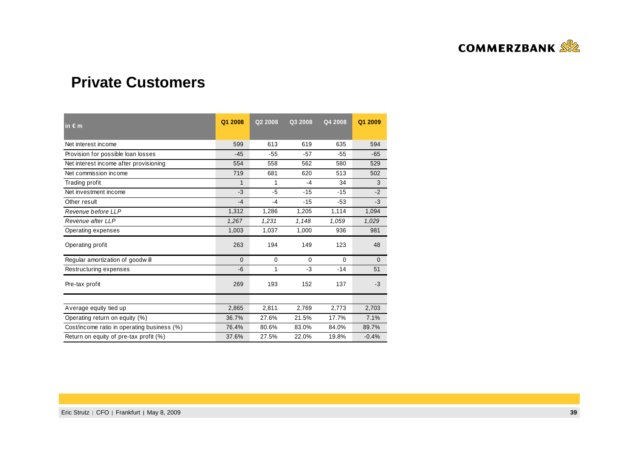

# **Private Customers**

| $in \in m$                                  | Q1 2008  | Q2 2008     | Q3 2008     | Q4 2008  | Q1 2009      |
|---------------------------------------------|----------|-------------|-------------|----------|--------------|
| Net interest income                         | 599      | 613         | 619         | 635      | 594          |
| Provision for possible loan losses          | $-45$    | $-55$       | $-57$       | $-55$    | $-65$        |
| Net interest income after provisioning      | 554      | 558         | 562         | 580      | 529          |
| Net commission income                       | 719      | 681         | 620         | 513      | 502          |
| Trading profit                              | 1        | 1           | $-4$        | 34       | 3            |
| Net investment income                       | $-3$     | $-5$        | $-15$       | $-15$    | $-2$         |
| Other result                                | $-4$     | $-4$        | $-15$       | $-53$    | $-3$         |
| Revenue before LLP                          | 1,312    | 1,286       | 1,205       | 1,114    | 1,094        |
| Revenue after LLP                           | 1,267    | 1,231       | 1,148       | 1,059    | 1,029        |
| Operating expenses                          | 1,003    | 1,037       | 1,000       | 936      | 981          |
| Operating profit                            | 263      | 194         | 149         | 123      | 48           |
| Regular amortization of goodwill            | $\Omega$ | $\mathbf 0$ | $\mathbf 0$ | $\Omega$ | $\mathbf{0}$ |
| Restructuring expenses                      | $-6$     | 1           | $-3$        | $-14$    | 51           |
| Pre-tax profit                              | 269      | 193         | 152         | 137      | $-3$         |
|                                             |          |             |             |          |              |
| Average equity tied up                      | 2,865    | 2,811       | 2,769       | 2,773    | 2,703        |
| Operating return on equity (%)              | 36.7%    | 27.6%       | 21.5%       | 17.7%    | 7.1%         |
| Cost/income ratio in operating business (%) | 76.4%    | 80.6%       | 83.0%       | 84.0%    | 89.7%        |
| Return on equity of pre-tax profit (%)      | 37.6%    | 27.5%       | 22.0%       | 19.8%    | $-0.4%$      |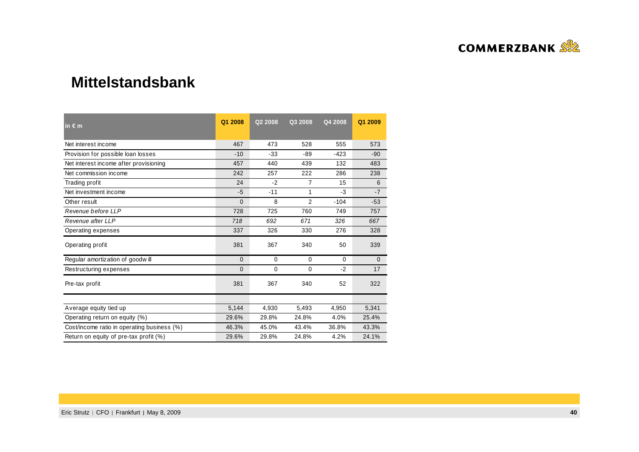

### **Mittelstandsbank**

| $in \in m$                                  | Q1 2008      | Q2 2008     | Q3 2008        | Q4 2008 | Q1 2009      |
|---------------------------------------------|--------------|-------------|----------------|---------|--------------|
| Net interest income                         | 467          | 473         | 528            | 555     | 573          |
| Provision for possible loan losses          | $-10$        | $-33$       | $-89$          | $-423$  | $-90$        |
| Net interest income after provisioning      | 457          | 440         | 439            | 132     | 483          |
| Net commission income                       | 242          | 257         | 222            | 286     | 238          |
| Trading profit                              | 24           | $-2$        | 7              | 15      | 6            |
| Net investment income                       | $-5$         | $-11$       | 1              | $-3$    | $-7$         |
| Other result                                | $\Omega$     | 8           | $\overline{2}$ | $-104$  | $-53$        |
| Revenue before LLP                          | 728          | 725         | 760            | 749     | 757          |
| Revenue after LLP                           | 718          | 692         | 671            | 326     | 667          |
| Operating expenses                          | 337          | 326         | 330            | 276     | 328          |
| Operating profit                            | 381          | 367         | 340            | 50      | 339          |
| Regular amortization of goodwill            | $\Omega$     | $\mathbf 0$ | $\mathbf 0$    | 0       | $\mathbf{0}$ |
| Restructuring expenses                      | $\mathbf{0}$ | 0           | 0              | $-2$    | 17           |
| Pre-tax profit                              | 381          | 367         | 340            | 52      | 322          |
|                                             |              |             |                |         |              |
| Average equity tied up                      | 5,144        | 4,930       | 5,493          | 4,950   | 5,341        |
| Operating return on equity (%)              | 29.6%        | 29.8%       | 24.8%          | 4.0%    | 25.4%        |
| Cost/income ratio in operating business (%) | 46.3%        | 45.0%       | 43.4%          | 36.8%   | 43.3%        |
| Return on equity of pre-tax profit (%)      | 29.6%        | 29.8%       | 24.8%          | 4.2%    | 24.1%        |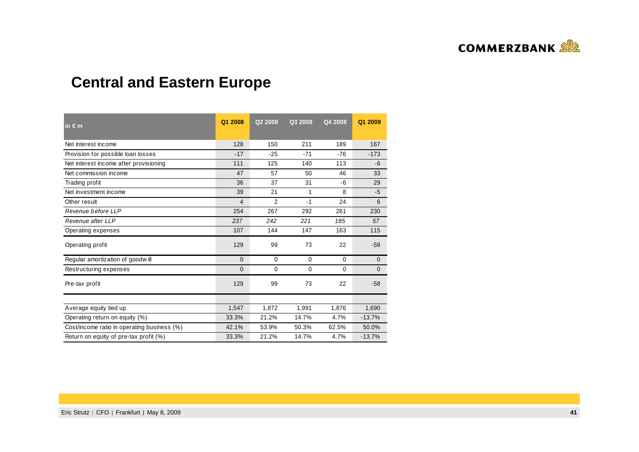

# **Central and Eastern Europe**

| $\ln \epsilon$ m                            | Q1 2008        | Q2 2008        | Q3 2008     | Q4 2008  | Q1 2009      |
|---------------------------------------------|----------------|----------------|-------------|----------|--------------|
| Net interest income                         | 128            | 150            | 211         | 189      | 167          |
| Provision for possible loan losses          | $-17$          | $-25$          | $-71$       | $-76$    | $-173$       |
| Net interest income after provisioning      | 111            | 125            | 140         | 113      | $-6$         |
| Net commission income                       | 47             | 57             | 50          | 46       | 33           |
| Trading profit                              | 36             | 37             | 31          | -6       | 29           |
| Net investment income                       | 39             | 21             | 1           | 8        | $-5$         |
| Other result                                | $\overline{4}$ | $\overline{2}$ | $-1$        | 24       | 6            |
| Revenue before LLP                          | 254            | 267            | 292         | 261      | 230          |
| Revenue after LLP                           | 237            | 242            | 221         | 185      | 57           |
| Operating expenses                          | 107            | 144            | 147         | 163      | 115          |
| Operating profit                            | 129            | 99             | 73          | 22       | $-58$        |
| Regular amortization of goodwill            | $\Omega$       | 0              | 0           | $\Omega$ | $\mathbf{0}$ |
| Restructuring expenses                      | $\Omega$       | $\mathbf{0}$   | $\mathbf 0$ | 0        | $\Omega$     |
| Pre-tax profit                              | 129            | 99             | 73          | 22       | $-58$        |
|                                             |                |                |             |          |              |
| Average equity tied up                      | 1,547          | 1,872          | 1,991       | 1,876    | 1,690        |
| Operating return on equity (%)              | 33.3%          | 21.2%          | 14.7%       | 4.7%     | $-13.7%$     |
| Cost/income ratio in operating business (%) | 42.1%          | 53.9%          | 50.3%       | 62.5%    | 50.0%        |
| Return on equity of pre-tax profit (%)      | 33.3%          | 21.2%          | 14.7%       | 4.7%     | $-13.7%$     |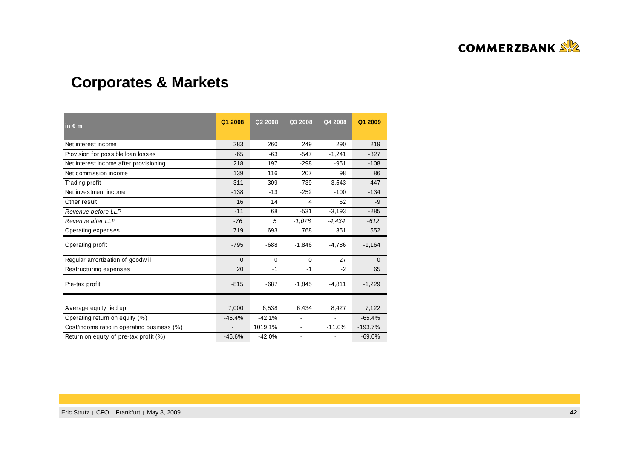

# **Corporates & Markets**

| $in \in m$                                  | Q1 2008        | Q2 2008  | Q3 2008        | Q4 2008  | Q1 2009      |
|---------------------------------------------|----------------|----------|----------------|----------|--------------|
| Net interest income                         | 283            | 260      | 249            | 290      | 219          |
| Provision for possible loan losses          | $-65$          | $-63$    | $-547$         | $-1.241$ | $-327$       |
| Net interest income after provisioning      | 218            | 197      | $-298$         | $-951$   | $-108$       |
| Net commission income                       | 139            | 116      | 207            | 98       | 86           |
| Trading profit                              | $-311$         | $-309$   | $-739$         | $-3,543$ | $-447$       |
| Net investment income                       | $-138$         | $-13$    | $-252$         | $-100$   | $-134$       |
| Other result                                | 16             | 14       | 4              | 62       | $-9$         |
| Revenue before LLP                          | $-11$          | 68       | $-531$         | $-3,193$ | $-285$       |
| Revenue after LLP                           | $-76$          | 5        | $-1,078$       | $-4,434$ | $-612$       |
| Operating expenses                          | 719            | 693      | 768            | 351      | 552          |
| Operating profit                            | $-795$         | $-688$   | $-1,846$       | $-4,786$ | $-1,164$     |
| Regular amortization of goodwill            | $\Omega$       | 0        | 0              | 27       | $\mathbf{0}$ |
| Restructuring expenses                      | 20             | $-1$     | $-1$           | $-2$     | 65           |
| Pre-tax profit                              | $-815$         | $-687$   | $-1,845$       | $-4,811$ | $-1,229$     |
|                                             |                |          |                |          |              |
| Average equity tied up                      | 7,000          | 6,538    | 6,434          | 8,427    | 7,122        |
| Operating return on equity (%)              | $-45.4%$       | $-42.1%$ |                |          | $-65.4%$     |
| Cost/income ratio in operating business (%) | $\blacksquare$ | 1019.1%  | $\blacksquare$ | $-11.0%$ | $-193.7%$    |
| Return on equity of pre-tax profit (%)      | $-46.6%$       | $-42.0%$ |                |          | $-69.0%$     |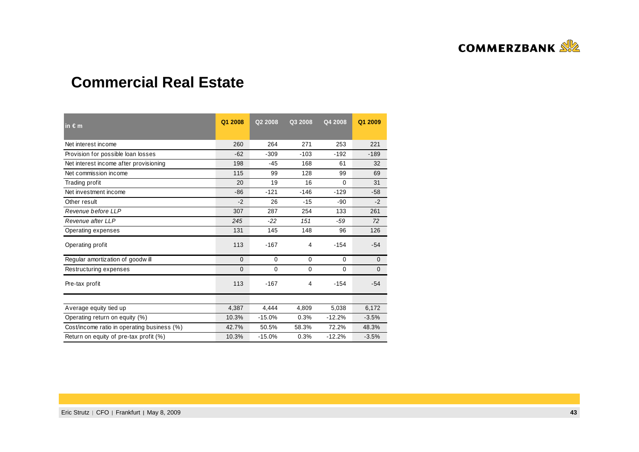

# **Commercial Real Estate**

| in $\epsilon$ m                             | Q1 2008  | Q2 2008     | Q3 2008     | Q4 2008     | Q1 2009      |
|---------------------------------------------|----------|-------------|-------------|-------------|--------------|
| Net interest income                         | 260      | 264         | 271         | 253         | 221          |
| Provision for possible loan losses          | $-62$    | $-309$      | $-103$      | $-192$      | $-189$       |
| Net interest income after provisioning      | 198      | $-45$       | 168         | 61          | 32           |
| Net commission income                       | 115      | 99          | 128         | 99          | 69           |
| Trading profit                              | 20       | 19          | 16          | 0           | 31           |
| Net investment income                       | $-86$    | $-121$      | $-146$      | $-129$      | $-58$        |
| Other result                                | $-2$     | 26          | $-15$       | $-90$       | $-2$         |
| Revenue before LLP                          | 307      | 287         | 254         | 133         | 261          |
| Revenue after LLP                           | 245      | $-22$       | 151         | $-59$       | 72           |
| Operating expenses                          | 131      | 145         | 148         | 96          | 126          |
| Operating profit                            | 113      | $-167$      | 4           | $-154$      | $-54$        |
| Regular amortization of goodwill            | $\Omega$ | $\mathbf 0$ | $\mathbf 0$ | $\Omega$    | $\mathbf 0$  |
| Restructuring expenses                      | 0        | 0           | $\mathbf 0$ | $\mathbf 0$ | $\mathbf{0}$ |
| Pre-tax profit                              | 113      | $-167$      | 4           | $-154$      | $-54$        |
|                                             |          |             |             |             |              |
| Average equity tied up                      | 4,387    | 4,444       | 4,809       | 5,038       | 6,172        |
| Operating return on equity (%)              | 10.3%    | $-15.0%$    | 0.3%        | $-12.2%$    | $-3.5%$      |
| Cost/income ratio in operating business (%) | 42.7%    | 50.5%       | 58.3%       | 72.2%       | 48.3%        |
| Return on equity of pre-tax profit (%)      | 10.3%    | $-15.0%$    | 0.3%        | $-12.2%$    | $-3.5%$      |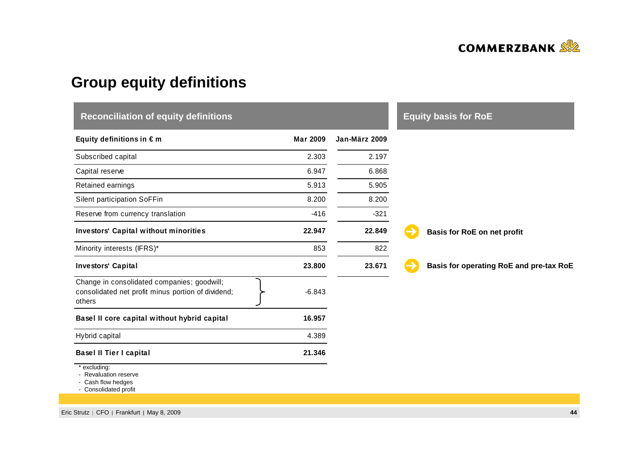

# **Group equity definitions**

| <b>Reconciliation of equity definitions</b>                                                                 |                 |               | <b>Equity basis for RoE</b>             |
|-------------------------------------------------------------------------------------------------------------|-----------------|---------------|-----------------------------------------|
| Equity definitions in $\epsilon$ m                                                                          | <b>Mar 2009</b> | Jan-März 2009 |                                         |
| Subscribed capital                                                                                          | 2.303           | 2.197         |                                         |
| Capital reserve                                                                                             | 6.947           | 6.868         |                                         |
| Retained earnings                                                                                           | 5.913           | 5.905         |                                         |
| Silent participation SoFFin                                                                                 | 8.200           | 8.200         |                                         |
| Reserve from currency translation                                                                           | $-416$          | $-321$        |                                         |
| <b>Investors' Capital without minorities</b>                                                                | 22.947          | 22.849        | Basis for RoE on net profit             |
| Minority interests (IFRS)*                                                                                  | 853             | 822           |                                         |
| <b>Investors' Capital</b>                                                                                   | 23.800          | 23.671        | Basis for operating RoE and pre-tax RoE |
| Change in consolidated companies; goodwill;<br>consolidated net profit minus portion of dividend;<br>others | $-6.843$        |               |                                         |
| Basel II core capital without hybrid capital                                                                | 16.957          |               |                                         |
| Hybrid capital                                                                                              | 4.389           |               |                                         |
| <b>Basel II Tier I capital</b>                                                                              | 21.346          |               |                                         |
| * excluding:<br>- Revaluation reserve                                                                       |                 |               |                                         |

Revaluation reserve - Cash flow hedges - Consolidated profit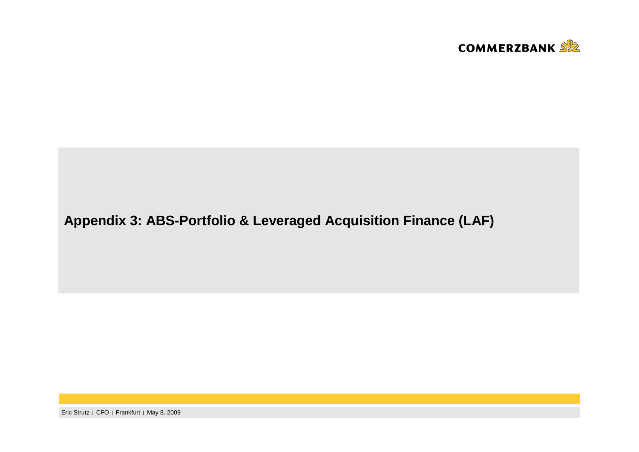

# **Appendix 3: ABS-Portfolio & Leveraged Acquisition Finance (LAF)**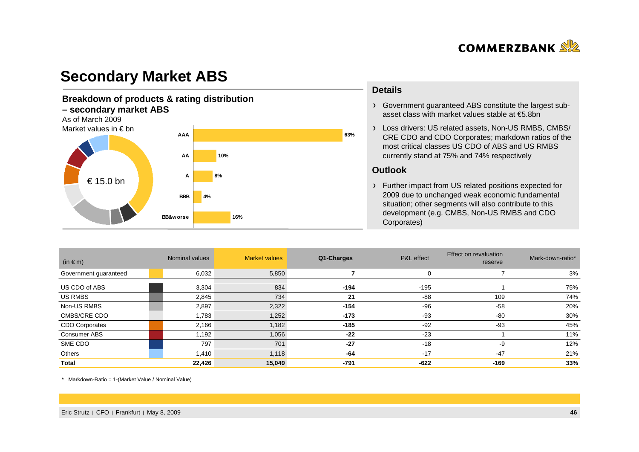

## **Secondary Market ABS**

#### **Breakdown of products & rating distribution – secondary market ABS**As of March 2009 Market values in € bn**4%10%8%BBBAAAAAA**€ 15.0 bn

**BB&worse**

**16%**

#### **Details**

- Government guaranteed ABS constitute the largest subasset class with market values stable at €5.8bn
- Loss drivers: US related assets, Non-US RMBS, CMBS/ CRE CDO and CDO Corporates; markdown ratios of the most critical classes US CDO of ABS and US RMBS currently stand at 75% and 74% respectively

#### **Outlook**

**63%**

Further impact from US related positions expected for 2009 due to unchanged weak economic fundamental situation; other segments will also contribute to this development (e.g. CMBS, Non-US RMBS and CDO Corporates)

| $(in \in m)$          | Nominal values | <b>Market values</b> | Q1-Charges | P&L effect | Effect on revaluation<br>reserve | Mark-down-ratio* |
|-----------------------|----------------|----------------------|------------|------------|----------------------------------|------------------|
| Government guaranteed | 6,032          | 5,850                |            | 0          |                                  | 3%               |
| US CDO of ABS         | 3,304          | 834                  | $-194$     | $-195$     |                                  | 75%              |
| US RMBS               | 2,845          | 734                  | 21         | -88        | 109                              | 74%              |
| Non-US RMBS           | 2,897          | 2,322                | $-154$     | $-96$      | $-58$                            | 20%              |
| CMBS/CRE CDO          | 1,783          | 1,252                | $-173$     | $-93$      | $-80$                            | 30%              |
| <b>CDO Corporates</b> | 2,166          | 1,182                | $-185$     | $-92$      | $-93$                            | 45%              |
| Consumer ABS          | 1,192          | 1,056                | $-22$      | $-23$      |                                  | 11%              |
| SME CDO               | 797            | 701                  | $-27$      | $-18$      | -9                               | 12%              |
| Others                | 1,410          | 1,118                | $-64$      | $-17$      | $-47$                            | 21%              |
| <b>Total</b>          | 22,426         | 15,049               | -791       | $-622$     | $-169$                           | 33%              |

\* Markdown-Ratio = 1-(Market Value / Nominal Value)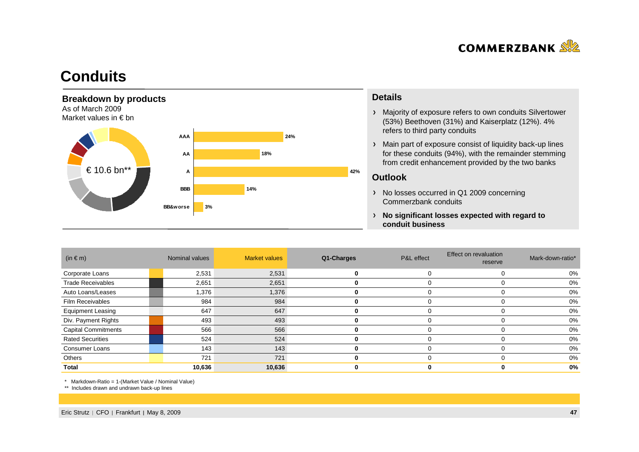

## **Conduits**



#### **Details**

- Majority of exposure refers to own conduits Silvertower(53%) Beethoven (31%) and Kaiserplatz (12%). 4% refers to third party conduits
- Main part of exposure consist of liquidity back-up lines for these conduits (94%), with the remainder stemming from credit enhancement provided by the two banks

#### **Outlook**

- > No losses occurred in Q1 2009 concerning Commerzbank conduits
- **No significant losses expected with regard to conduit business**

| $(in \in m)$               | Nominal values | <b>Market values</b> | Q1-Charges | P&L effect | <b>Effect on revaluation</b><br>reserve | Mark-down-ratio* |
|----------------------------|----------------|----------------------|------------|------------|-----------------------------------------|------------------|
| Corporate Loans            | 2,531          | 2,531                | 0          |            | 0                                       | 0%               |
| <b>Trade Receivables</b>   | 2,651          | 2,651                | 0          |            | O                                       | 0%               |
| Auto Loans/Leases          | 1,376          | 1,376                |            |            |                                         | 0%               |
| <b>Film Receivables</b>    | 984            | 984                  |            |            |                                         | 0%               |
| <b>Equipment Leasing</b>   | 647            | 647                  |            |            |                                         | 0%               |
| Div. Payment Rights        | 493            | 493                  |            |            |                                         | 0%               |
| <b>Capital Commitments</b> | 566            | 566                  |            |            |                                         | 0%               |
| <b>Rated Securities</b>    | 524            | 524                  |            |            |                                         | 0%               |
| <b>Consumer Loans</b>      | 143            | 143                  | 0          |            | $\Omega$                                | 0%               |
| Others                     | 721            | 721                  | o          |            | $\Omega$                                | 0%               |
| Total                      | 10,636         | 10,636               |            |            |                                         | 0%               |

\* Markdown-Ratio = 1-(Market Value / Nominal Value)

\*\* Includes drawn and undrawn back-up lines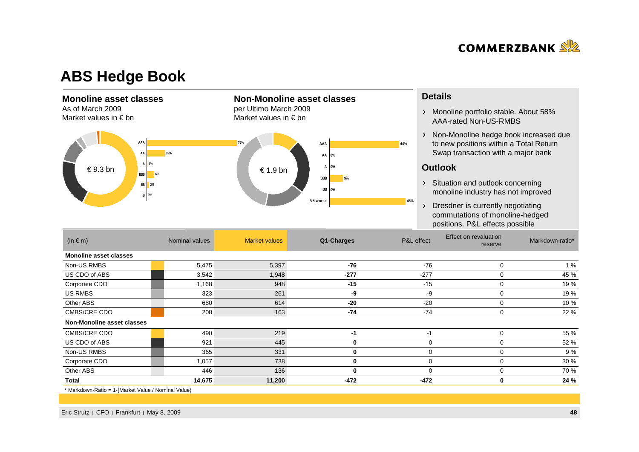

### **ABS Hedge Book**

#### **Monoline asset classes**

As of March 2009Market values in € bn



**Non-Monoline asset classes** 

per Ultimo March 2009Market values in € bn

#### **Details**

- Monoline portfolio stable. About 58% AAA-rated Non-US-RMBS
- > Non-Monoline hedge book increased due to new positions within a Total Return Swap transaction with a major bank

#### **Outlook**

- > Situation and outlook concerning monoline industry has not improved
- > Dresdner is currently negotiating commutations of monoline-hedged positions. P&L effects possible

| $(in \in m)$                  | Nominal values | <b>Market values</b> | Q1-Charges | P&L effect | Effect on revaluation<br>reserve | Markdown-ratio* |
|-------------------------------|----------------|----------------------|------------|------------|----------------------------------|-----------------|
| <b>Monoline asset classes</b> |                |                      |            |            |                                  |                 |
| Non-US RMBS                   | 5,475          | 5,397                | -76        | $-76$      | $\mathbf 0$                      | 1%              |
| US CDO of ABS                 | 3,542          | 1,948                | $-277$     | $-277$     | 0                                | 45 %            |
| Corporate CDO                 | 1,168          | 948                  | $-15$      | $-15$      | 0                                | 19 %            |
| US RMBS                       | 323            | 261                  | -9         | -9         | 0                                | 19 %            |
| Other ABS                     | 680            | 614                  | $-20$      | $-20$      | 0                                | 10 %            |
| CMBS/CRE CDO                  | 208            | 163                  | $-74$      | $-74$      | 0                                | 22 %            |
| Non-Monoline asset classes    |                |                      |            |            |                                  |                 |
| <b>CMBS/CRE CDO</b>           | 490            | 219                  | -1         | $-1$       | 0                                | 55 %            |
| US CDO of ABS                 | 921            | 445                  | 0          | 0          | 0                                | 52 %            |
| Non-US RMBS                   | 365            | 331                  | 0          | 0          | 0                                | 9 %             |
| Corporate CDO                 | 1,057          | 738                  | 0          | $\Omega$   | 0                                | 30 %            |
| Other ABS                     | 446            | 136                  | 0          | $\Omega$   | 0                                | 70 %            |
| <b>Total</b>                  | 14,675         | 11,200               | $-472$     | $-472$     | $\bf{0}$                         | 24 %            |

\* Markdown-Ratio = 1-(Market Value / Nominal Value)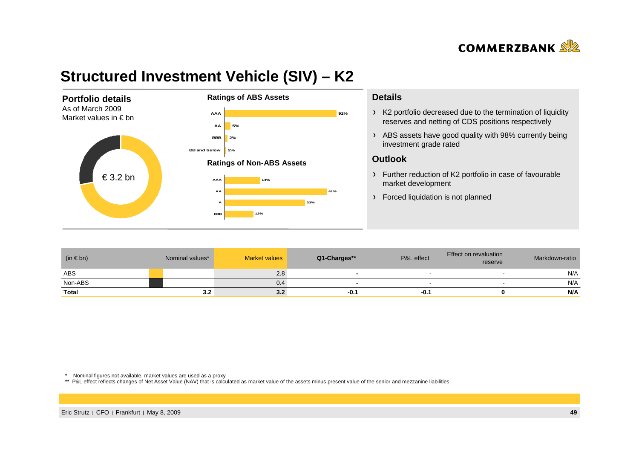

# **Structured Investment Vehicle (SIV) – K2**



#### **Details**

- K2 portfolio decreased due to the termination of liquidity reserves and netting of CDS positions respectively
- ABS assets have good quality with 98% currently being investment grade rated

#### **Outlook**

- Further reduction of K2 portfolio in case of favourable market development
- > Forced liquidation is not planned

| $(in \in bn)$ | Nominal values* | <b>Market values</b> | Q1-Charges** | P&L effect | Effect on revaluation<br>reserve | Markdown-ratio |
|---------------|-----------------|----------------------|--------------|------------|----------------------------------|----------------|
| <b>ABS</b>    |                 | 2.8                  |              |            |                                  | N/A            |
| Non-ABS       |                 | 0.4                  |              |            |                                  | N/A            |
| <b>Total</b>  | 3.2             | 3.2                  | -0.1         | $-0.1$     |                                  | N/A            |

\* Nominal figures not available, market values are used as a proxy

\*\* P&L effect reflects changes of Net Asset Value (NAV) that is calculated as market value of the assets minus present value of the senior and mezzanine liabilities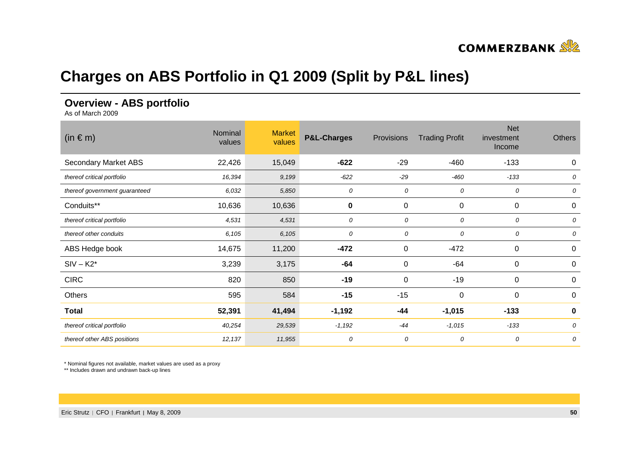

# **Charges on ABS Portfolio in Q1 2009 (Split by P&L lines)**

### **Overview - ABS portfolio**

As of March 2009

| $(in \in m)$                  | Nominal<br>values | <b>Market</b><br>values | <b>P&amp;L-Charges</b> | Provisions | <b>Trading Profit</b> | <b>Net</b><br>investment<br>Income | <b>Others</b> |
|-------------------------------|-------------------|-------------------------|------------------------|------------|-----------------------|------------------------------------|---------------|
| Secondary Market ABS          | 22,426            | 15,049                  | $-622$                 | $-29$      | $-460$                | $-133$                             | $\pmb{0}$     |
| thereof critical portfolio    | 16,394            | 9,199                   | -622                   | $-29$      | $-460$                | $-133$                             | 0             |
| thereof government guaranteed | 6,032             | 5,850                   | 0                      | 0          | 0                     | 0                                  | 0             |
| Conduits**                    | 10,636            | 10,636                  | $\bf{0}$               | 0          | 0                     | $\mathbf 0$                        | 0             |
| thereof critical portfolio    | 4,531             | 4,531                   | 0                      | 0          | 0                     | 0                                  | 0             |
| thereof other conduits        | 6,105             | 6,105                   | 0                      | 0          | 0                     | 0                                  | 0             |
| ABS Hedge book                | 14,675            | 11,200                  | $-472$                 | 0          | $-472$                | $\mathbf 0$                        | $\mathbf 0$   |
| $SIV - K2$ *                  | 3,239             | 3,175                   | $-64$                  | 0          | $-64$                 | $\mathbf 0$                        | $\mathbf 0$   |
| <b>CIRC</b>                   | 820               | 850                     | $-19$                  | 0          | $-19$                 | $\mathbf 0$                        | $\mathbf 0$   |
| Others                        | 595               | 584                     | $-15$                  | $-15$      | 0                     | 0                                  | 0             |
| <b>Total</b>                  | 52,391            | 41,494                  | $-1,192$               | $-44$      | $-1,015$              | $-133$                             | $\bf{0}$      |
| thereof critical portfolio    | 40,254            | 29,539                  | $-1,192$               | $-44$      | $-1,015$              | $-133$                             | 0             |
| thereof other ABS positions   | 12,137            | 11,955                  | 0                      | 0          | 0                     | 0                                  | 0             |

\* Nominal figures not available, market values are used as a proxy

\*\* Includes drawn and undrawn back-up lines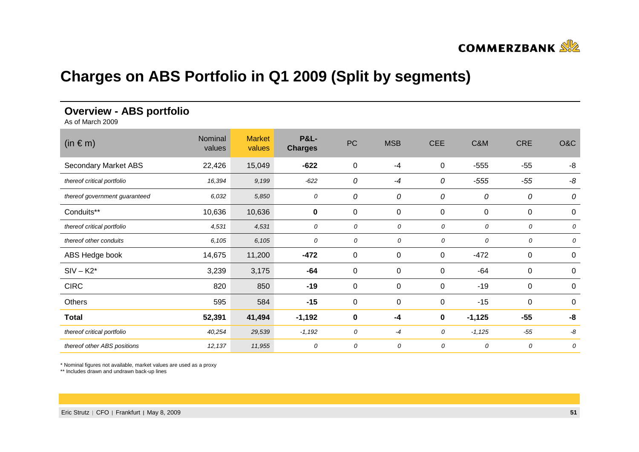

# **Charges on ABS Portfolio in Q1 2009 (Split by segments)**

### **Overview - ABS portfolio**

As of March 2009

| $(in \in m)$                  | Nominal<br>values | <b>Market</b><br>values | <b>P&amp;L-</b><br><b>Charges</b> | PC          | <b>MSB</b>  | <b>CEE</b> | C&M         | <b>CRE</b>  | O&C      |
|-------------------------------|-------------------|-------------------------|-----------------------------------|-------------|-------------|------------|-------------|-------------|----------|
| <b>Secondary Market ABS</b>   | 22,426            | 15,049                  | $-622$                            | $\pmb{0}$   | $-4$        | 0          | $-555$      | $-55$       | -8       |
| thereof critical portfolio    | 16,394            | 9,199                   | $-622$                            | 0           | $-4$        | 0          | $-555$      | $-55$       | -8       |
| thereof government guaranteed | 6,032             | 5,850                   | 0                                 | 0           | 0           | 0          | 0           | 0           | 0        |
| Conduits**                    | 10,636            | 10,636                  | $\pmb{0}$                         | 0           | 0           | 0          | $\mathbf 0$ | $\mathbf 0$ | 0        |
| thereof critical portfolio    | 4,531             | 4,531                   | 0                                 | 0           | 0           | 0          | 0           | 0           | 0        |
| thereof other conduits        | 6,105             | 6,105                   | 0                                 | 0           | 0           | 0          | 0           | 0           | 0        |
| ABS Hedge book                | 14,675            | 11,200                  | $-472$                            | $\mathbf 0$ | 0           | 0          | $-472$      | 0           | 0        |
| $SIV - K2*$                   | 3,239             | 3,175                   | -64                               | $\mathbf 0$ | $\mathbf 0$ | 0          | $-64$       | $\mathbf 0$ | 0        |
| <b>CIRC</b>                   | 820               | 850                     | $-19$                             | 0           | 0           | 0          | $-19$       | 0           | 0        |
| Others                        | 595               | 584                     | $-15$                             | $\mathbf 0$ | $\pmb{0}$   | 0          | $-15$       | 0           | $\Omega$ |
| <b>Total</b>                  | 52,391            | 41,494                  | $-1,192$                          | 0           | $-4$        | 0          | $-1,125$    | $-55$       | -8       |
| thereof critical portfolio    | 40,254            | 29,539                  | $-1,192$                          | 0           | $-4$        | 0          | $-1,125$    | $-55$       | -8       |
| thereof other ABS positions   | 12,137            | 11,955                  | 0                                 | 0           | 0           | 0          | 0           | 0           | 0        |

\* Nominal figures not available, market values are used as a proxy

\*\* Includes drawn and undrawn back-up lines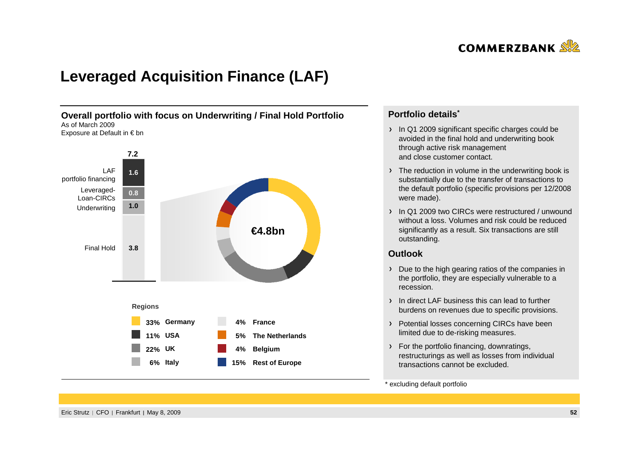

# **Leveraged Acquisition Finance (LAF)**



### **Portfolio details\***

- In Q1 2009 significant specific charges could be avoided in the final hold and underwriting bookthrough active risk management and close customer contact.
- The reduction in volume in the underwriting book is substantially due to the transfer of transactions to the default portfolio (specific provisions per 12/2008 were made).
- 1 In Q1 2009 two CIRCs were restructured / unwound without a loss. Volumes and risk could be reducedsignificantly as a result. Six transactions are still outstanding.

#### **Outlook**

- **x**<br>**b** the high gearing ratios of<br>rtfolio, they are especially<br>tion Due to the high gearing ratios of the companies in the portfolio, they are especially vulnerable to a recession.
- In direct LAF business this can lead to furtherburdens on revenues due to specific provisions.
- > Potential losses concerning CIRCs have been limited due to de-risking measures.
- > For the portfolio financing, downratings, restructurings as well as losses from individual transactions cannot be excluded.

#### \* excluding default portfolio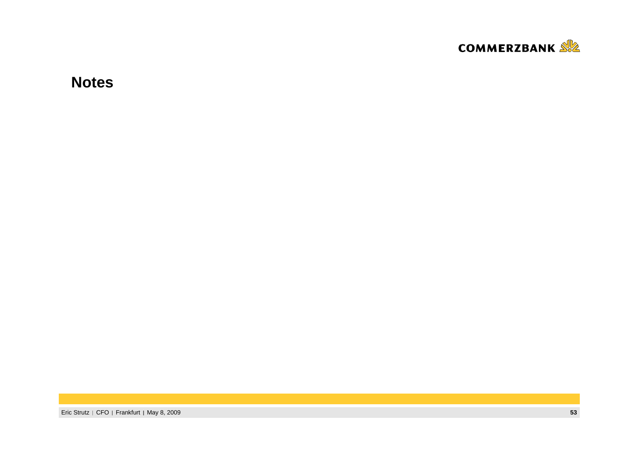

**Notes**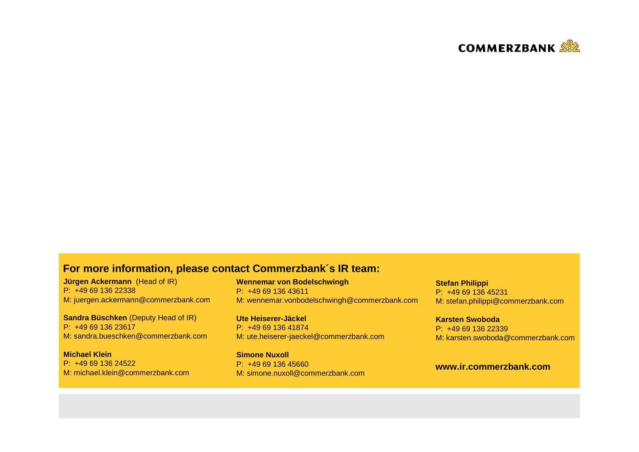

### **For more information, please contact Commerzbank´s IR team:**

**Jürgen Ackermann** (Head of IR) P: +49 69 136 22338M: juergen.ackermann@commerzbank.com

**Sandra Büschken** (Deputy Head of IR) P: +49 69 136 23617M: sandra.bueschken@commerzbank.com

**Michael Klein** P: +49 69 136 24522M: michael.klein@commerzbank.com **Wennemar von Bodelschwingh**P: +49 69 136 43611M: wennemar.vonbodelschwingh@commerzbank.com

**Ute Heiserer-Jäckel** P: +49 69 136 41874M: ute.heiserer-jaeckel@commerzbank.com

**Simone Nuxoll** P: +49 69 136 45660M: simone.nuxoll@commerzbank.com **Stefan Philippi** P: +49 69 136 45231M: stefan.philippi@commerzbank.com

**Karsten Swoboda** P: +49 69 136 22339M: karsten.swoboda@commerzbank.com

### **www.ir.commerzbank.com**